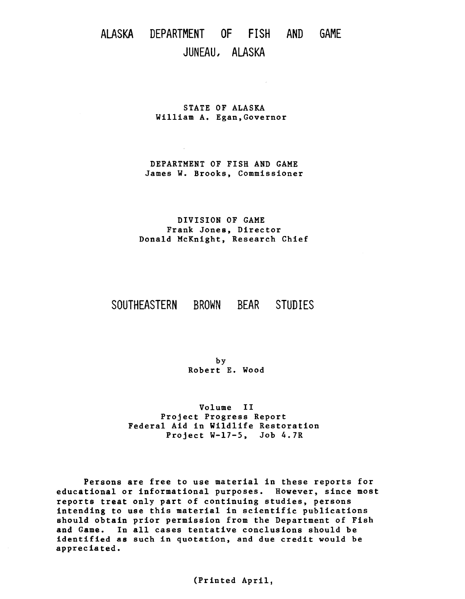# ALASKA DEPARTMENT OF FISH AND GAME JUNEAU, ALASKA

STATE OF ALASKA William A. Egan,Governor

DEPARTMENT OF FISH AND GAME James W. Brooks, Commissioner

DIVISION OF GAME Frank Jones, Director Donald McKnight, Research Chief

# SOUTHEASTERN BROWN BEAR STUDIES

by Robert E. Wood

Volume II Project Progress Report Federal Aid in Wildlife Restoration Project W-17-5, Job 4.7R

Persons are free to use material in these reports for educational or informational purposes. However, since most reports treat only part of continuing studies, persons intending to use this material in scientific publications should obtain prior permission from the Department of Fish and Game. In all cases tentative conclusions should be identified as such in quotation, and due credit would be appreciated.

(Printed April,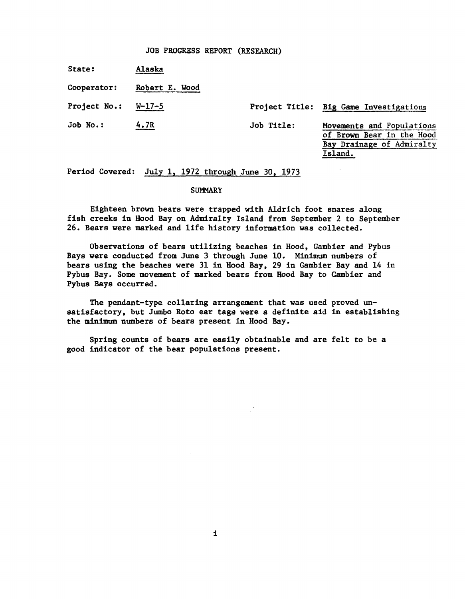# JOB PROGRESS REPORT (RESEARCH)

State: Alaska

Cooperator: Robert E. Wood

Project No.: W-17-5

Project Title: Big Game Investigations

Job No.: 4.7R

Job Title: Movements and Populations of Brown Bear in the Hood Bay Drainage of Admiralty Island.

Period Covered: July 1, 1972 through June 30, 1973

# **SUMMARY**

Eighteen brown bears were trapped with Aldrich foot snares along fish creeks in Hood Bay on Admiralty Island from September 2 to September 26. Bears were marked and life history information was collected.

Observations of bears utilizing beaches in Hood, Gambier and Pybus Bays were conducted from June 3 through June 10. Minimum numbers of bears using the beaches were 31 in Hood Bay, 29 in Gambier Bay and 14 in Pybus Bay. Some movement of marked bears from Hood Bay to Gambier and Pybus Bays occurred.

The pendant-type collaring arrangement that was used proved unsatisfactory, but Jumbo Roto ear tags were a definite aid in establishing the minimum numbers of bears present in Hood Bay.

Spring counts of bears are easily obtainable and are felt to be a good indicator of the bear populations present.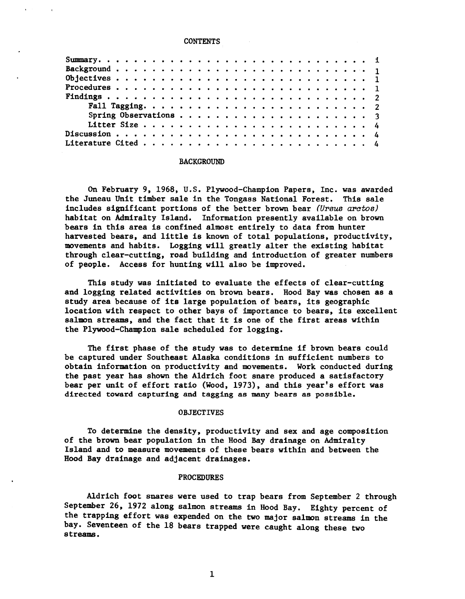#### **CONTENTS**

## BACKGROUND

On February 9, 1968, U.S. Plywood-Champion Papers, Inc. was awarded the Juneau Unit timber sale in the Tongass National Forest. This sale includes significant portions of the better brown bear *(Ursus aratos)*  habitat on Admiralty Island. Information presently available on brown bears in this area is confined almost entirely to data from hunter harvested bears, and little is known of total populations, productivity, movements and habits. Logging will greatly alter the existing habitat through clear-cutting, road building and introduction of greater numbers of people. Access for hunting will also be improved.

This study was initiated to evaluate the effects of clear-cutting and logging related activities on brown bears. Hood Bay was chosen as a study area because of its large population of bears, its geographic location with respect to other bays of importance to bears, its excellent salmon streams, and the fact that it is one of the first areas within the Plywood-Champion sale scheduled for logging.

The first phase of the study was to determine if brown bears could be captured under Southeast Alaska conditions in sufficient numbers to obtain information on productivity and movements. Work conducted during the past year has shown the Aldrich foot snare produced a satisfactory bear per unit of effort ratio (Wood, 1973), and this year's effort was directed toward capturing and tagging as many bears as possible.

# **OBJECTIVES**

To determine the density, productivity and sex and age composition of the brown bear population in the Hood Bay drainage on Admiralty Island and to measure movements of these bears within and between the Hood Bay drainage and adjacent drainages.

# PROCEDURES

Aldrich foot snares were used to trap bears from September 2 through September 26, 1972 along salmon streams in Hood Bay. Eighty percent of the trapping effort was expended on the two major salmon streams in the bay. Seventeen of the 18 bears trapped were caught along these two streams.

1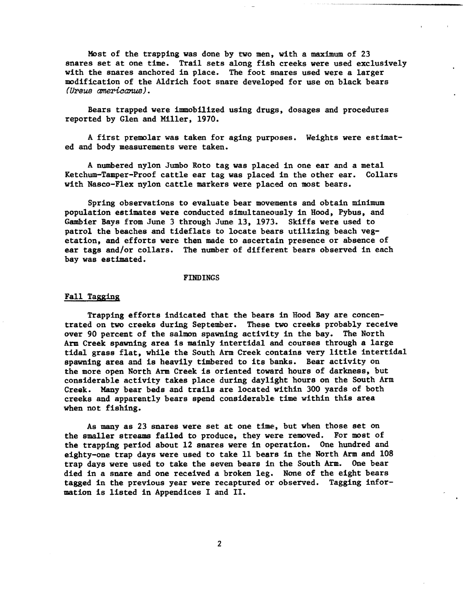Most of the trapping was done by two men, with a maximum of 23 snares set at one time. Trail sets along fish creeks were used exclusively with the snares anchored in place. The foot snares used were a larger modification of the Aldrich foot snare developed for use on black bears *(Ursus americanus).* 

Bears trapped were immobilized using drugs, dosages and procedures reported by Glen and Miller, 1970.

A first premolar was taken for aging purposes. Weights were estimated and body measurements were taken.

A numbered nylon Jumbo Roto tag was placed in one ear and a metal Ketchum-Tamper-Proof cattle ear tag was placed in the other ear. Collars with Nasco-Flex nylon cattle markers were placed on most bears.

Spring observations to evaluate bear movements and obtain minimum population estimates were conducted simultaneously in Hood, Pybus, and Gambier Bays from June 3 through June 13, 1973. Skiffs were used to patrol the beaches and tideflats to locate bears utilizing beach vegetation, and efforts were then made to ascertain presence or absence of ear tags and/or collars. The number of different bears observed in each bay was estimated.

#### FINDINGS

## Fall Tagging

Trapping efforts indicated that the bears in Hood Bay are concentrated on two creeks during September. These two creeks probably receive over 90 percent of the salmon spawning activity in the bay. The North Arm Creek spawning area is mainly intertidal and courses through a large tidal grass flat, while the South Arm Creek contains very little intertidal spawning area and is heavily timbered to its banks. Bear activity on the more open North Arm Creek is oriented toward hours of darkness, but considerable activity takes place during daylight hours on the South Arm Creek. Many bear beds and trails are located within 300 yards of both creeks and apparently bears spend considerable: time within this area when not fishing.

As many as 23 snares were set at one time, but when those set on the smaller streams failed to produce, they were removed. For most of the trapping period about 12 snares were in operation. One hundred and eighty-one trap days were used to take 11 bears in the North Arm and 108 trap days were used to take the seven bears in the South Arm. One bear died in a snare and one received a broken leg. None of the eight bears tagged in the previous year were recaptured or observed. Tagging information is listed in Appendices I and II.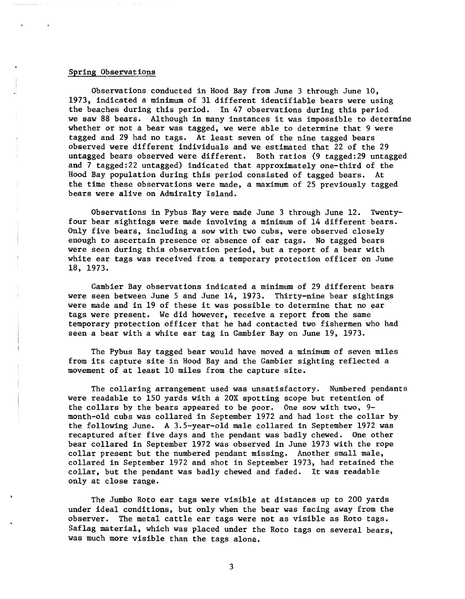# Spring Observations

Observations conducted in Hood Bay from June 3 through June 10, 1973, indicated a minimum of 31 different identifiable bears were using the beaches during this period. In 47 observations during this period we saw 88 bears. Although in many instances it was impossible to determine whether or not a bear was tagged, we were able to determine that 9 were tagged and 29 had no tags. At least seven of the nine tagged bears observed were different individuals and we estimated that 22 of the 29 untagged bears observed were different. Both ratios (9 tagged:29 untagged and 7 tagged:22 untagged) indicated that approximately one-third of the Hood Bay population during this period consisted of tagged bears. the time these observations were made, a maximum of 25 previously tagged bears were alive on Admiralty Island.

Observations in Pybus Bay were made June 3 through June 12. Twentyfour bear sightings were made involving a minimum of 14 different bears. Only five bears, including a sow with two cubs, were observed closely enough to ascertain presence or absence of ear tags. No tagged bears were seen during this observation period, but a report of a bear with white ear tags was received from a temporary protection officer on June 18, 1973.

Gambier Bay observations indicated a minimum of 29 different bears were seen between June 5 and June 14, 1973. Thirty-nine bear sightings were made and in 19 of these it was possible to determine that no ear tags were present. We did however, receive a report from the same temporary protection officer that he had contacted two fishermen who had seen a bear with a white ear tag in Gambier Bay on June 19, 1973.

The Pybus Bay tagged bear would have moved a minimum of seven miles from its capture site in Hood Bay and the Gambier sighting reflected a movement of at least 10 miles from the capture site.

The collaring arrangement used was unsatisfactory. Numbered pendants were readable to 150 yards with a 20X spotting scope but retention of the collars by the bears appeared to be poor. One sow with two, 9 month-old cubs was collared in September 1972 and had lost the collar by the following June. A 3.5-year-old male collared in September 1972 was recaptured after five days and the pendant was badly chewed. One other bear collared in September 1972 was observed in June 1973 with the rope collar present but the numbered pendant missing. Another small male, collared in September 1972 and shot in September 1973, had retained the collar, but the pendant was badly chewed and faded. It was readable only at close range.

The Jumbo Roto ear tags were visible at distances up to 200 yards under ideal conditions, but only when the bear was facing away from the observer. The metal cattle ear tags were not as visible as Roto tags. Saflag material, which was placed under the Roto tags on several bears, was much more visible than the tags alone.

3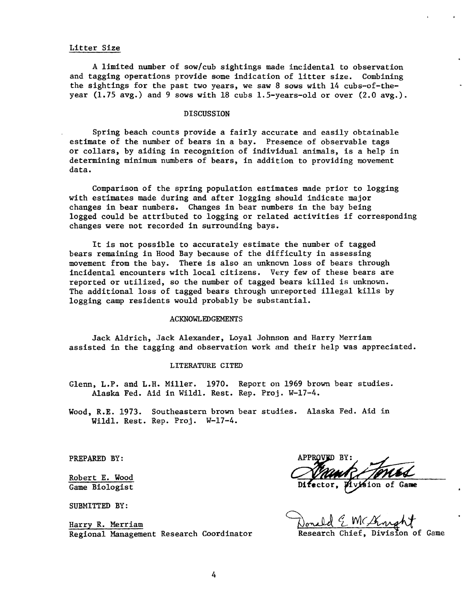# Litter Size

A limited number of sow/ cub sightings made incidental to observation and tagging operations provide some indication of litter size. Combining the sightings for the past two years, we saw 8 sows with 14 cubs-of-theyear  $(1.75 \text{ avg.})$  and 9 sows with 18 cubs 1.5-years-old or over  $(2.0 \text{ avg.})$ .

# DISCUSSION

Spring beach counts provide a fairly accurate and easily obtainable estimate of the number of bears in a bay. Presence of observable tags or collars, by aiding in recognition of individual animals, is a help in determining minimum numbers of bears, in addition to providing movement data.

Comparison of the spring population estimates made prior to logging with estimates made during and after logging should indicate major changes in bear numbers. Changes in bear numbers in the bay being logged could be attributed to logging or related activities if corresponding changes were not recorded in surrounding bays.

It is not possible to accurately estimate the number of tagged bears remaining in Hood Bay because of the difficulty in assessing movement from the bay. There is also an unknown loss of bears through incidental encounters with local citizens. Very few of these bears are reported or utilized, so the number of tagged bears killed is unknown. The additional loss of tagged bears through unreported illegal kills by logging camp residents would probably be substantial.

# ACKNOWLEDGEMENTS

Jack Aldrich, Jack Alexander, Loyal Johnson and Harry Merriam assisted in the tagging and observation work and their help was appreciated.

# LITERATURE CITED

Glenn, L.P. and L.H. Miller. 1970. Report on 1969 brown bear studies. Alaska Fed. Aid in Wildl. Rest. Rep. Proj. W-17-4.

Wood, R.E. 1973. Southeastern brown bear studies. Alaska Fed. Aid in Wildl. Rest. Rep. Proj. W-17-4.

PREPARED BY:

Robert E. Wood Game Biologist

SUBMITTED BY:

Harry R. Merriam Regional Management Research Coordinator

Mvision of

Research Chief, Division of Game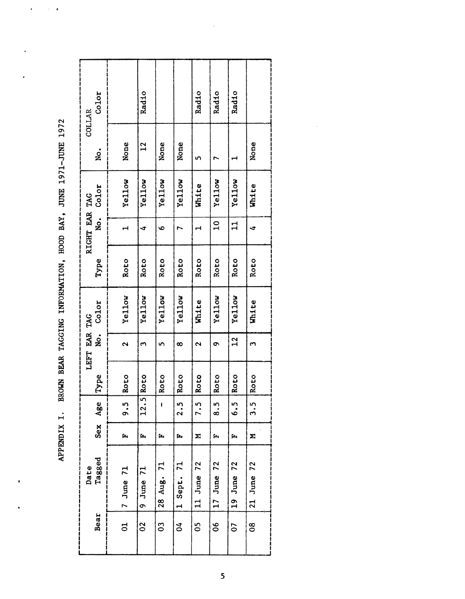| Color<br><b>COLLAR</b>     |                    | Radio          |                |            | Radio                | Radio           | Radio         |                   |
|----------------------------|--------------------|----------------|----------------|------------|----------------------|-----------------|---------------|-------------------|
| g.                         | None               | 12             | None           | None       | n                    |                 |               | None              |
| Color                      | Yellow             | Yellow         | Yellow         | Yellow     | White                | Yellow          | <b>Yellow</b> | White             |
| RIGHT EAR TAG<br>$\dot{z}$ |                    | 寸              | $\bullet$      |            |                      | $\overline{10}$ | $\mathbf{1}$  | ₹                 |
| Type                       | Roto               | Roto           | Roto           | Roto       | Roto                 | Roto            | Roto          | Roto              |
| Color                      | Yellow             | Yellow         | Yellow         | Yellow     | White                | Yellow          | Yellow        | <b>White</b>      |
| LEFT EAR TAG<br>No.        | $\mathbf{\hat{c}}$ | 3              | ١ŋ             | $\infty$   | $\mathbf{\tilde{c}}$ | Ō               | $\frac{2}{1}$ | $\mathbf{\Omega}$ |
| Type                       | Roto               | Roto           | Roto           | Roto       | Roto                 | Roto            | Roto          | Roto              |
| Age                        | ິ<br>ຈ.            | 12.5           | ł              | 2.5        | 7.5                  | .<br>გ.         | 6.5           | 3.5               |
| $s$ ex                     | ſα,                | Ļ٦.,           | Ŀ,             | ſ.         | Σ                    | ſ.              | ſщ            | Σ                 |
| Tagged<br>Date             | $7$ June $71$      | $9$ June $71$  | 28 Aug. 71     | 1 Sept. 71 | 11 June 72           | $17$ June $72$  | 19 June 72    | 21 June 72        |
| Bear                       | d                  | $\overline{0}$ | $\overline{0}$ | ð,         | 50                   | 80              | 67            | 80                |

APPENDIX I. BROWN BEAR TAGGING INFORMATION, HOOD BAY, JUNE 1971-JUNE 1972 APPENDIX I. BROWN BEAR TAGGING INFORMATION, HOOD BAY, JUNE 1971-JUNE 1972

 $\ddot{\phantom{0}}$ 

×